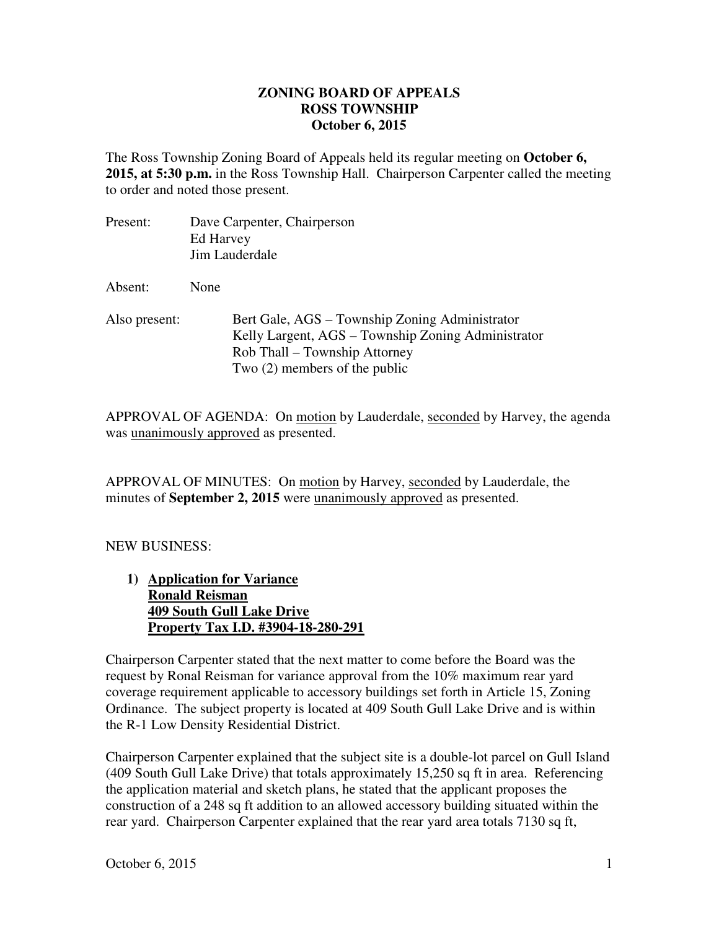## **ZONING BOARD OF APPEALS October 6, 2015 ROSS TOWNSHIP**

 The Ross Township Zoning Board of Appeals held its regular meeting on **October 6, 2015, at 5:30 p.m.** in the Ross Township Hall. Chairperson Carpenter called the meeting to order and noted those present.

- Present: Jim Lauderdale Absent: None Dave Carpenter, Chairperson Ed Harvey
- Also present: Bert Gale, AGS – Township Zoning Administrator Kelly Largent, AGS – Township Zoning Administrator Rob Thall – Township Attorney Two (2) members of the public

APPROVAL OF AGENDA: On motion by Lauderdale, seconded by Harvey, the agenda was **unanimously approved** as presented.

APPROVAL OF MINUTES: On motion by Harvey, seconded by Lauderdale, the minutes of **September 2, 2015** were unanimously approved as presented.

## NEW BUSINESS:

1) **Application for Variance Ronald Reisman 409 South Gull Lake Drive Property Tax I.D. #3904-18-280-291** 

 Chairperson Carpenter stated that the next matter to come before the Board was the request by Ronal Reisman for variance approval from the 10% maximum rear yard coverage requirement applicable to accessory buildings set forth in Article 15, Zoning Ordinance. The subject property is located at 409 South Gull Lake Drive and is within the R-1 Low Density Residential District.

 Chairperson Carpenter explained that the subject site is a double-lot parcel on Gull Island (409 South Gull Lake Drive) that totals approximately 15,250 sq ft in area. Referencing the application material and sketch plans, he stated that the applicant proposes the construction of a 248 sq ft addition to an allowed accessory building situated within the rear yard. Chairperson Carpenter explained that the rear yard area totals 7130 sq ft,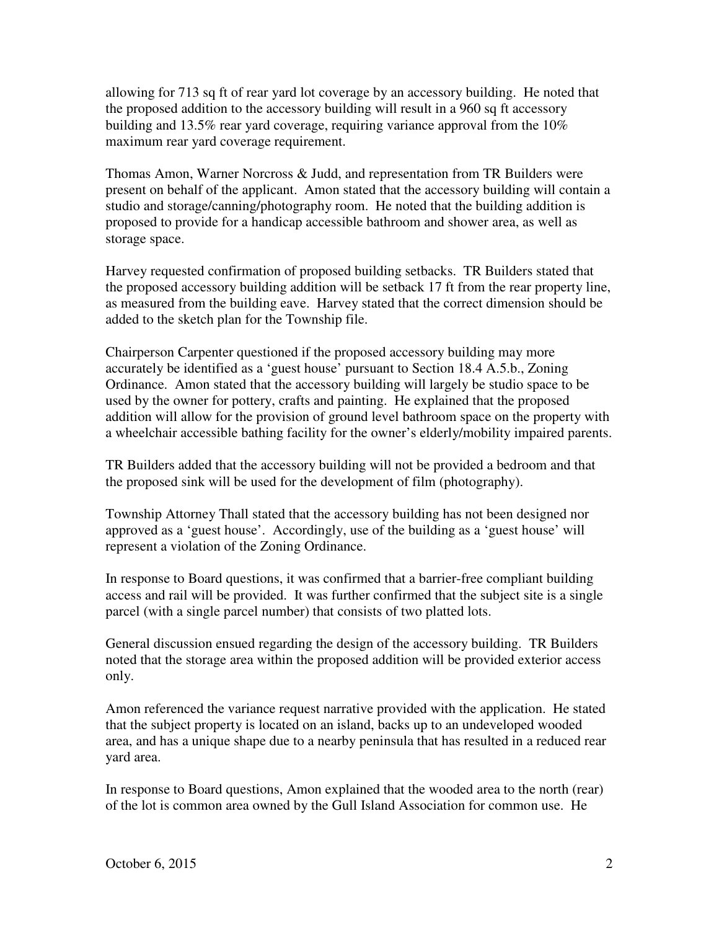allowing for 713 sq ft of rear yard lot coverage by an accessory building. He noted that the proposed addition to the accessory building will result in a 960 sq ft accessory building and 13.5% rear yard coverage, requiring variance approval from the 10% maximum rear yard coverage requirement.

 Thomas Amon, Warner Norcross & Judd, and representation from TR Builders were present on behalf of the applicant. Amon stated that the accessory building will contain a studio and storage/canning/photography room. He noted that the building addition is proposed to provide for a handicap accessible bathroom and shower area, as well as storage space.

 Harvey requested confirmation of proposed building setbacks. TR Builders stated that the proposed accessory building addition will be setback 17 ft from the rear property line, as measured from the building eave. Harvey stated that the correct dimension should be added to the sketch plan for the Township file.

 Chairperson Carpenter questioned if the proposed accessory building may more accurately be identified as a 'guest house' pursuant to Section 18.4 A.5.b., Zoning Ordinance. Amon stated that the accessory building will largely be studio space to be used by the owner for pottery, crafts and painting. He explained that the proposed addition will allow for the provision of ground level bathroom space on the property with a wheelchair accessible bathing facility for the owner's elderly/mobility impaired parents.

 TR Builders added that the accessory building will not be provided a bedroom and that the proposed sink will be used for the development of film (photography).

 Township Attorney Thall stated that the accessory building has not been designed nor approved as a 'guest house'. Accordingly, use of the building as a 'guest house' will represent a violation of the Zoning Ordinance.

 In response to Board questions, it was confirmed that a barrier-free compliant building access and rail will be provided. It was further confirmed that the subject site is a single parcel (with a single parcel number) that consists of two platted lots.

 General discussion ensued regarding the design of the accessory building. TR Builders noted that the storage area within the proposed addition will be provided exterior access only.

 Amon referenced the variance request narrative provided with the application. He stated that the subject property is located on an island, backs up to an undeveloped wooded area, and has a unique shape due to a nearby peninsula that has resulted in a reduced rear yard area.

 In response to Board questions, Amon explained that the wooded area to the north (rear) of the lot is common area owned by the Gull Island Association for common use. He